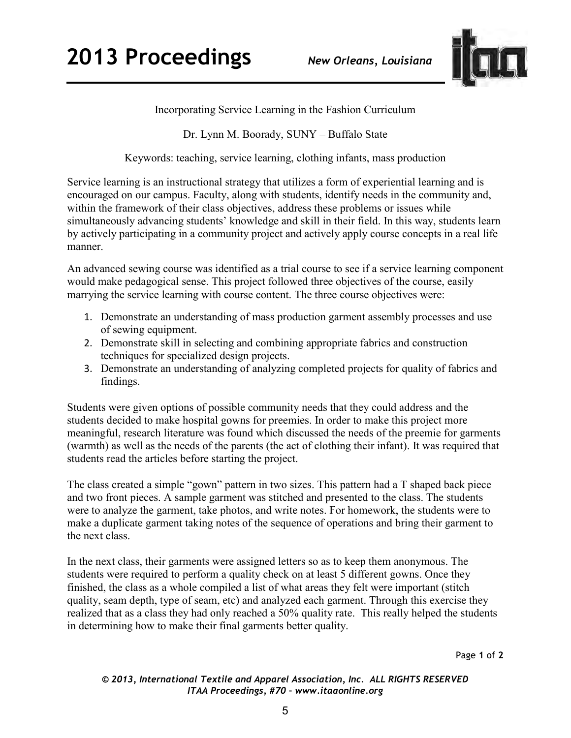

Incorporating Service Learning in the Fashion Curriculum

Dr. Lynn M. Boorady, SUNY – Buffalo State

Keywords: teaching, service learning, clothing infants, mass production

Service learning is an instructional strategy that utilizes a form of experiential learning and is encouraged on our campus. Faculty, along with students, identify needs in the community and, within the framework of their class objectives, address these problems or issues while simultaneously advancing students' knowledge and skill in their field. In this way, students learn by actively participating in a community project and actively apply course concepts in a real life manner.

An advanced sewing course was identified as a trial course to see if a service learning component would make pedagogical sense. This project followed three objectives of the course, easily marrying the service learning with course content. The three course objectives were:

- 1. Demonstrate an understanding of mass production garment assembly processes and use of sewing equipment.
- 2. Demonstrate skill in selecting and combining appropriate fabrics and construction techniques for specialized design projects.
- 3. Demonstrate an understanding of analyzing completed projects for quality of fabrics and findings.

Students were given options of possible community needs that they could address and the students decided to make hospital gowns for preemies. In order to make this project more meaningful, research literature was found which discussed the needs of the preemie for garments (warmth) as well as the needs of the parents (the act of clothing their infant). It was required that students read the articles before starting the project.

The class created a simple "gown" pattern in two sizes. This pattern had a T shaped back piece and two front pieces. A sample garment was stitched and presented to the class. The students were to analyze the garment, take photos, and write notes. For homework, the students were to make a duplicate garment taking notes of the sequence of operations and bring their garment to the next class.

In the next class, their garments were assigned letters so as to keep them anonymous. The students were required to perform a quality check on at least 5 different gowns. Once they finished, the class as a whole compiled a list of what areas they felt were important (stitch quality, seam depth, type of seam, etc) and analyzed each garment. Through this exercise they realized that as a class they had only reached a 50% quality rate. This really helped the students in determining how to make their final garments better quality.

Page **1** of **2** 

*© 2013, International Textile and Apparel Association, Inc. ALL RIGHTS RESERVED ITAA Proceedings, #70 – www.itaaonline.org*